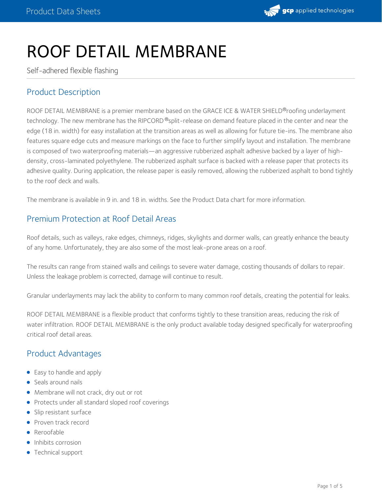

# ROOF DETAIL MEMBRANE

Self-adhered flexible flashing

# Product Description

ROOF DETAIL MEMBRANE is a premier membrane based on the GRACE ICE & WATER SHIELD®roofing underlayment technology. The new membrane has the RIPCORD ®split-release on demand feature placed in the center and near the edge (18 in. width) for easy installation at the transition areas as well as allowing for future tie-ins. The membrane also features square edge cuts and measure markings on the face to further simplify layout and installation. The membrane is composed of two waterproofing materials—an aggressive rubberized asphalt adhesive backed by a layer of high density, cross-laminated polyethylene. The rubberized asphalt surface is backed with a release paper that protects its adhesive quality. During application, the release paper is easily removed, allowing the rubberized asphalt to bond tightly to the roof deck and walls.

The membrane is available in 9 in. and 18 in. widths. See the Product Data chart for more information.

# Premium Protection at Roof Detail Areas

Roof details, such as valleys, rake edges, chimneys, ridges, skylights and dormer walls, can greatly enhance the beauty of any home. Unfortunately, they are also some of the most leak-prone areas on a roof.

The results can range from stained walls and ceilings to severe water damage, costing thousands of dollars to repair. Unless the leakage problem is corrected, damage will continue to result.

Granular underlayments may lack the ability to conform to many common roof details, creating the potential for leaks.

ROOF DETAIL MEMBRANE is a flexible product that conforms tightly to these transition areas, reducing the risk of water infiltration. ROOF DETAIL MEMBRANE is the only product available today designed specifically for waterproofing critical roof detail areas.

## Product Advantages

- Easy to handle and apply
- Seals around nails
- Membrane will not crack, dry out or rot
- Protects under all standard sloped roof coverings
- Slip resistant surface
- Proven track record
- **•** Reroofable
- Inhibits corrosion
- Technical support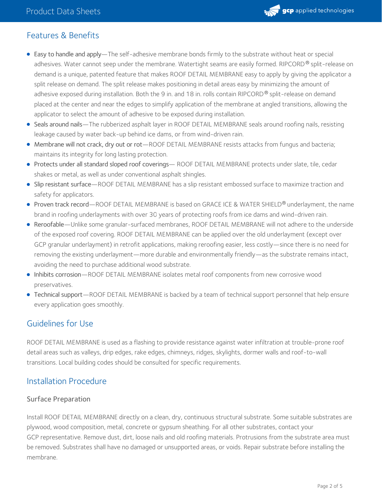

# Features & Benefits

- Easy to handle and apply—The self-adhesive membrane bonds firmly to the substrate without heat or special adhesives. Water cannot seep under the membrane. Watertight seams are easily formed. RIPCORD® split-release on demand is a unique, patented feature that makes ROOF DETAIL MEMBRANE easy to apply by giving the applicator a split release on demand. The split release makes positioning in detail areas easy by minimizing the amount of adhesive exposed during installation. Both the 9 in. and 18 in. rolls contain RIPCORD® split-release on demand placed at the center and near the edges to simplify application of the membrane at angled transitions, allowing the applicator to select the amount of adhesive to be exposed during installation.
- Seals around nails—The rubberized asphalt layer in ROOF DETAIL MEMBRANE seals around roofing nails, resisting leakage caused by water back-up behind ice dams, or from wind-driven rain.
- Membrane will not crack, dry out or rot—ROOF DETAIL MEMBRANE resists attacks from fungus and bacteria; maintains its integrity for long lasting protection.
- Protects under all standard sloped roof coverings— ROOF DETAIL MEMBRANE protects under slate, tile, cedar shakes or metal, as well as under conventional asphalt shingles.
- Slip resistant surface—ROOF DETAIL MEMBRANE has a slip resistant embossed surface to maximize traction and safety for applicators.
- Proven track record—ROOF DETAIL MEMBRANE is based on GRACE ICE & WATER SHIELD® underlayment, the name brand in roofing underlayments with over 30 years of protecting roofs from ice dams and wind-driven rain.
- Reroofable—Unlike some granular-surfaced membranes, ROOF DETAIL MEMBRANE will not adhere to the underside of the exposed roof covering. ROOF DETAIL MEMBRANE can be applied over the old underlayment (except over GCP granular underlayment) in retrofit applications, making reroofing easier, less costly—since there is no need for removing the existing underlayment—more durable and environmentally friendly—as the substrate remains intact, avoiding the need to purchase additional wood substrate.
- Inhibits corrosion—ROOF DETAIL MEMBRANE isolates metal roof components from new corrosive wood preservatives.
- Technical support—ROOF DETAIL MEMBRANE is backed by a team of technical support personnel that help ensure every application goes smoothly.

# Guidelines for Use

ROOF DETAIL MEMBRANE is used as a flashing to provide resistance against water infiltration at trouble-prone roof detail areas such as valleys, drip edges, rake edges, chimneys, ridges, skylights, dormer walls and roof-to-wall transitions. Local building codes should be consulted for specific requirements.

## Installation Procedure

#### Surface Preparation

Install ROOF DETAIL MEMBRANE directly on a clean, dry, continuous structural substrate. Some suitable substrates are plywood, wood composition, metal, concrete or gypsum sheathing. For all other substrates, contact your GCP representative. Remove dust, dirt, loose nails and old roofing materials. Protrusions from the substrate area must be removed. Substrates shall have no damaged or unsupported areas, or voids. Repair substrate before installing the membrane.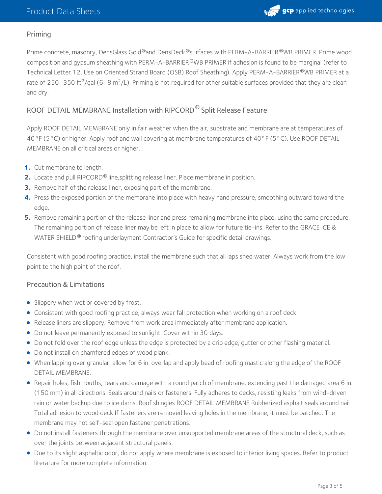

#### Priming

Prime concrete, masonry, DensGlass Gold®and DensDeck®surfaces with PERM-A-BARRIER®WB PRIMER. Prime wood composition and gypsum sheathing with PERM-A-BARRIER®WB PRIMER if adhesion is found to be marginal (refer to Technical Letter 12, Use on Oriented Strand Board (OSB) Roof [Sheathing\)](https://gcpat.com/en/advantages/products/grace-ice-water-shield-roofing-underlayment/use-oriented-strand-board-osb-roof). Apply PERM-A-BARRIER®WB PRIMER at a rate of 250–350 ft<sup>2</sup>/gal (6–8 m<sup>2</sup>/L). Priming is not required for other suitable surfaces provided that they are clean and dry.

### ROOF DETAIL MEMBRANE Installation with RIPCORD<sup>®</sup> Split Release Feature

Apply ROOF DETAIL MEMBRANE only in fair weather when the air, substrate and membrane are at temperatures of 40°F (5°C) or higher. Apply roof and wall covering at membrane temperatures of 40°F (5°C). Use ROOF DETAIL MEMBRANE on all critical areas or higher.

- **1.** Cut membrane to length.
- **2.** Locate and pull RIPCORD<sup>®</sup> line, splitting release liner. Place membrane in position.
- **3.** Remove half of the release liner, exposing part of the membrane.
- Press the exposed portion of the membrane into place with heavy hand pressure, smoothing outward toward the edge. **4.**
- **5.** Remove remaining portion of the release liner and press remaining membrane into place, using the same procedure. The remaining portion of release liner may be left in place to allow for future tie-ins. Refer to the GRACE ICE & WATER SHIELD® roofing underlayment Contractor's Guide for specific detail drawings.

Consistent with good roofing practice, install the membrane such that all laps shed water. Always work from the low point to the high point of the roof.

#### Precaution & Limitations

- **Slippery when wet or covered by frost.**
- Consistent with good roofing practice, always wear fall protection when working on a roof deck.
- Release liners are slippery. Remove from work area immediately after membrane application.
- Do not leave permanently exposed to sunlight. Cover within 30 days.
- Do not fold over the roof edge unless the edge is protected by a drip edge, gutter or other flashing material.
- Do not install on chamfered edges of wood plank.
- When lapping over granular, allow for 6 in. overlap and apply bead of roofing mastic along the edge of the ROOF DETAIL MEMBRANE.
- Repair holes, fishmouths, tears and damage with a round patch of membrane, extending past the damaged area 6 in. (150 mm) in all directions. Seals around nails or fasteners. Fully adheres to decks, resisting leaks from wind-driven rain or water backup due to ice dams. Roof shingles ROOF DETAIL MEMBRANE Rubberized asphalt seals around nail Total adhesion to wood deck If fasteners are removed leaving holes in the membrane, it must be patched. The membrane may not self-seal open fastener penetrations.
- Do not install fasteners through the membrane over unsupported membrane areas of the structural deck, such as over the joints between adjacent structural panels.
- Due to its slight asphaltic odor, do not apply where membrane is exposed to interior living spaces. Refer to product literature for more complete information.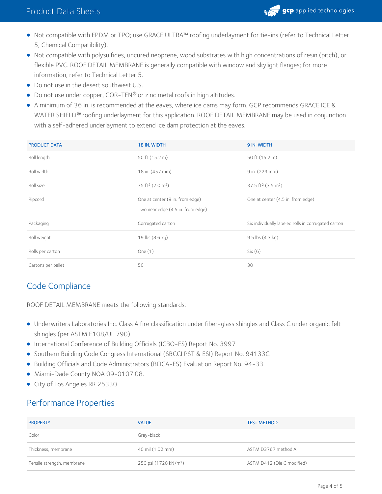

- Not compatible with EPDM or TPO; use GRACE ULTRA™ roofing underlayment for tie-ins (refer to Technical Letter 5, Chemical Compatibility).
- Not compatible with polysulfides, uncured neoprene, wood substrates with high concentrations of resin (pitch), or flexible PVC. ROOF DETAIL MEMBRANE is generally compatible with window and skylight flanges; for more information, refer to Technical Letter 5.
- Do not use in the desert southwest U.S.
- $\bullet$  Do not use under copper, COR-TEN $\circledast$  or zinc metal roofs in high altitudes.
- A minimum of 36 in. is recommended at the eaves, where ice dams may form. GCP recommends GRACE ICE & WATER SHIELD® roofing underlayment for this application. ROOF DETAIL MEMBRANE may be used in conjunction with a self-adhered underlayment to extend ice dam protection at the eaves.

| <b>PRODUCT DATA</b> | 18 IN. WIDTH                             | 9 IN. WIDTH                                         |
|---------------------|------------------------------------------|-----------------------------------------------------|
| Roll length         | 50 ft (15.2 m)                           | 50 ft (15.2 m)                                      |
| Roll width          | 18 in. (457 mm)                          | 9 in. (229 mm)                                      |
| Roll size           | 75 ft <sup>2</sup> (7.0 m <sup>2</sup> ) | 37.5 ft <sup>2</sup> (3.5 m <sup>2</sup> )          |
| Ripcord             | One at center (9 in. from edge)          | One at center (4.5 in. from edge)                   |
|                     | Two near edge (4.5 in. from edge)        |                                                     |
| Packaging           | Corrugated carton                        | Six individually labeled rolls in corrugated carton |
|                     |                                          |                                                     |
| Roll weight         | 19 lbs (8.6 kg)                          | $9.5$ lbs $(4.3 \text{ kg})$                        |
| Rolls per carton    | One $(1)$                                | Six(6)                                              |

# Code Compliance

ROOF DETAIL MEMBRANE meets the following standards:

- Underwriters Laboratories Inc. Class A fire classification under fiber-glass shingles and Class C under organic felt shingles (per ASTM E108/UL 790)
- International Conference of Building Officials (ICBO-ES) Report No. 3997
- **Southern Building Code Congress International (SBCCI PST & ESI) Report No. 94133C**
- Building Officials and Code Administrators (BOCA-ES) Evaluation Report No. 94-33
- $\bullet$  Miami-Dade County NOA 09-0107.08.
- City of Los Angeles RR 25330

# Performance Properties

| <b>PROPERTY</b>            | <b>VALUE</b>                      | <b>TEST METHOD</b>         |
|----------------------------|-----------------------------------|----------------------------|
| Color                      | Gray-black                        |                            |
| Thickness, membrane        | 40 mil (1.02 mm)                  | ASTM D3767 method A        |
| Tensile strength, membrane | 250 psi (1720 kN/m <sup>2</sup> ) | ASTM D412 (Die C modified) |